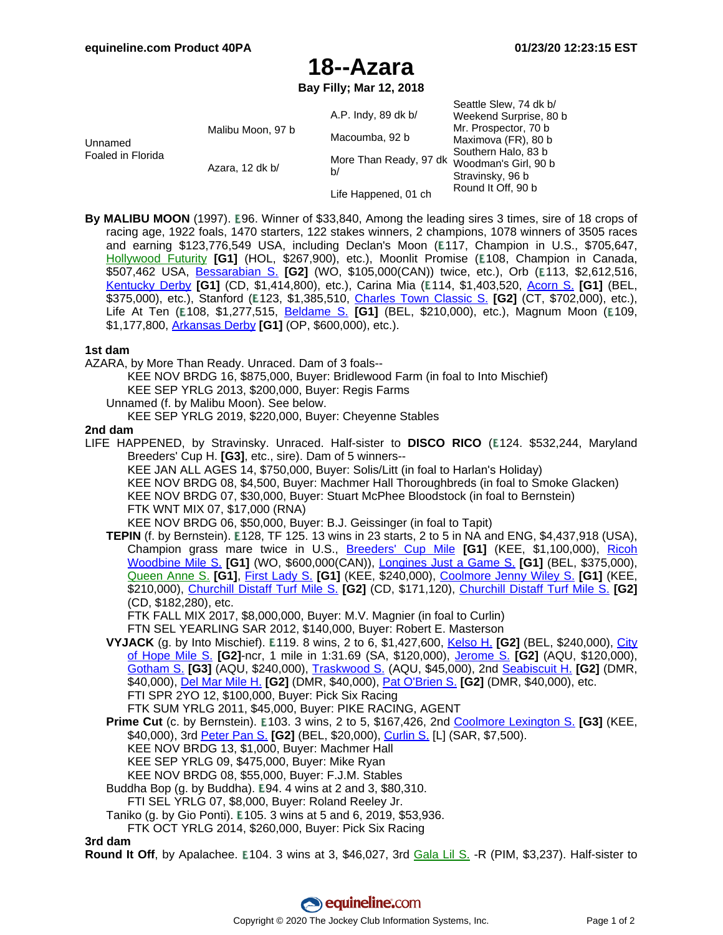# **18--Azara**

**Bay Filly; Mar 12, 2018**

| Unnamed<br>Foaled in Florida | Malibu Moon, 97 b<br>Azara, 12 dk b/ | A.P. Indy, 89 dk b/<br>Macoumba, 92 b<br>More Than Ready, 97 dk<br>b/ | Seattle Slew, 74 dk b/<br>Weekend Surprise, 80 b<br>Mr. Prospector, 70 b<br>Maximova (FR), 80 b<br>Southern Halo, 83 b<br>Woodman's Girl, 90 b<br>Stravinsky, 96 b |
|------------------------------|--------------------------------------|-----------------------------------------------------------------------|--------------------------------------------------------------------------------------------------------------------------------------------------------------------|
|                              |                                      | Life Happened, 01 ch                                                  | Round It Off, 90 b                                                                                                                                                 |

**By MALIBU MOON** (1997). E96. Winner of \$33,840, Among the leading sires 3 times, sire of 18 crops of racing age, 1922 foals, 1470 starters, 122 stakes winners, 2 champions, 1078 winners of 3505 races and earning \$123,776,549 USA, including Declan's Moon (E117, Champion in U.S., \$705,647, [Hollywood](https://www.equineline.com/dotVideoChart.cfm?track=HOL&country=USA&race_date=2004-12-18&refno=6520817®istry=T&race_name=Hollywood+Futurity&race_number=8&day_evening=D&product_reference_number=40PA) Futurity [G1] (HOL, \$267,900), etc.), Moonlit Promise (E108, Champion in Canada, \$507,462 USA, [Bessarabian](https://www.equineline.com/dotVideoChart.cfm?track=WO+&country=CAN&race_date=2018-11-25&raceid=mp4:2018/1308/20181125163&refno=9494116®istry=T&race_name=Bessarabian+S.&race_number=8&day_evening=D&product_reference_number=40PA) S. **[G2]** (WO, \$105,000(CAN)) twice, etc.), Orb ( 113, \$2,612,516, [Kentucky](https://www.equineline.com/dotVideoChart.cfm?track=CD+&country=USA&race_date=2013-05-04&raceid=mp4:2013/1308/20130504182&refno=8834015®istry=T&race_name=Kentucky+Derby&race_number=11&day_evening=D&product_reference_number=40PA) Derby **[G1]** (CD, \$1,414,800), etc.), Carina Mia ( 114, \$1,403,520, Acorn S. **[\[G1](https://www.equineline.com/dotVideoChart.cfm?track=BEL&country=USA&race_date=2016-06-11&raceid=mp4:2016/1308/20160611123&refno=9560432®istry=T&race_name=Acorn+S.&race_number=3&day_evening=D&product_reference_number=40PA)]** (BEL, \$375,000), etc.), Stanford ( 123, \$1,385,510, Charles Town [Classic](https://www.equineline.com/dotVideoChart.cfm?track=CT+&country=USA&race_date=2016-04-23&raceid=mp4:2016/1308/20160423181&refno=9324946®istry=T&race_name=Charles+Town+Classic+S.&race_number=12&day_evening=D&product_reference_number=40PA) S. **[G2]** (CT, \$702,000), etc.), Life At Ten (E108, \$1,277,515, <u>Bel[dame](https://www.equineline.com/dotVideoChart.cfm?track=BEL&country=USA&race_date=2010-10-02&raceid=mp4:2010/1308/20101002163&refno=7704649®istry=T&race_name=Beldame+S.&race_number=8&day_evening=D&product_reference_number=40PA) S.</u> **[G1]** (BEL, \$210,000), etc.), Magnum Moon (E109, \$1,177,800, [Arkansas](https://www.equineline.com/dotVideoChart.cfm?track=OP+&country=USA&race_date=2018-04-14&raceid=mp4:2018/1308/20180414193&refno=9912309®istry=T&race_name=Arkansas+Derby&race_number=11&day_evening=D&product_reference_number=40PA) Derby **[G1]** (OP, \$600,000), etc.).

## **1st dam**

AZARA, by More Than Ready. Unraced. Dam of 3 foals--

KEE NOV BRDG 16, \$875,000, Buyer: Bridlewood Farm (in foal to Into Mischief) KEE SEP YRLG 2013, \$200,000, Buyer: Regis Farms

Unnamed (f. by Malibu Moon). See below.

KEE SEP YRLG 2019, \$220,000, Buyer: Cheyenne Stables

#### **2nd dam**

LIFE HAPPENED, by Stravinsky. Unraced. Half-sister to **DISCO RICO** (E124. \$532,244, Maryland Breeders' Cup H. **[G3]**, etc., sire). Dam of 5 winners--

KEE JAN ALL AGES 14, \$750,000, Buyer: Solis/Litt (in foal to Harlan's Holiday) KEE NOV BRDG 08, \$4,500, Buyer: Machmer Hall Thoroughbreds (in foal to Smoke Glacken) KEE NOV BRDG 07, \$30,000, Buyer: Stuart McPhee Bloodstock (in foal to Bernstein) FTK WNT MIX 07, \$17,000 (RNA) KEE NOV BRDG 06, \$50,000, Buyer: B.J. Geissinger (in foal to Tapit)

**TEPIN** (f. by Bernstein). **E128, TF 125. 13 wins in 23 starts, 2 to 5 in NA and ENG, \$4,437,918 (USA),** Champion grass mare twice in U.S., Bree[ders'](https://www.equineline.com/dotVideoChart.cfm?track=KEE&country=USA&race_date=2015-10-31&raceid=mp4:2015/1308/20151031153&refno=9101058®istry=T&race_name=Breeders) Cup Mile **[G1]** (KEE, \$1,100,000), Ricoh [Woodbine](https://www.equineline.com/dotVideoChart.cfm?track=WO+&country=CAN&race_date=2016-09-17&raceid=mp4:2016/1308/20160917183&refno=9101058®istry=T&race_name=Ricoh+Woodbine+Mile+S.&race_number=12&day_evening=D&product_reference_number=40PA) Mile S. **[G1]** (WO, \$600,000(CAN)), [Longines](https://www.equineline.com/dotVideoChart.cfm?track=BEL&country=USA&race_date=2015-06-06&raceid=mp4:2015/1308/20150606155&refno=9101058®istry=T&race_name=Longines+Just+a+Game+S.&race_number=8&day_evening=D&product_reference_number=40PA) Just a Game S. **[G1]** (BEL, \$375,000), [Queen](https://www.equineline.com/dotVideoChart.cfm?track=ASC&country=ENG&race_date=2016-06-14&refno=9101058®istry=T&race_name=Queen+Anne+S.&race_number=1&day_evening=D&product_reference_number=40PA) Anne S. **[G1]**, First [Lady](https://www.equineline.com/dotVideoChart.cfm?track=KEE&country=USA&race_date=2015-10-03&raceid=mp4:2015/1308/20151003163&refno=9101058®istry=T&race_name=First+Lady+S.&race_number=7&day_evening=D&product_reference_number=40PA) S. **[G1]** (KEE, \$240,000), C[oolmore](https://www.equineline.com/dotVideoChart.cfm?track=KEE&country=USA&race_date=2016-04-16&raceid=mp4:2016/1308/20160416173&refno=9101058®istry=T&race_name=Coolmore+Jenny+Wiley+S.&race_number=10&day_evening=D&product_reference_number=40PA) Jenny Wiley S. **[G1]** (KEE, \$210,000), [Churchill](https://www.equineline.com/dotVideoChart.cfm?track=CD+&country=USA&race_date=2015-05-02&raceid=mp4:2015/1308/20150502145&refno=9101058®istry=T&race_name=Churchill+Distaff+Turf+Mile+S.&race_number=8&day_evening=D&product_reference_number=40PA) Distaff Turf Mile S. **[G2]** (CD, \$171,120), C[hurchill](https://www.equineline.com/dotVideoChart.cfm?track=CD+&country=USA&race_date=2016-05-07&raceid=mp4:2016/1308/20160507131&refno=9101058®istry=T&race_name=Churchill+Distaff+Turf+Mile+S.&race_number=6&day_evening=D&product_reference_number=40PA) Distaff Turf Mile S. **[G2]** (CD, \$182,280), etc.

FTK FALL MIX 2017, \$8,000,000, Buyer: M.V. Magnier (in foal to Curlin)

FTN SEL YEARLING SAR 2012, \$140,000, Buyer: Robert E. Masterson

**VYJACK** (g. by Into Mischief). 119. 8 wins, 2 to 6, \$1,427,600, [Kelso](https://www.equineline.com/dotVideoChart.cfm?track=BEL&country=USA&race_date=2014-09-27&raceid=mp4:2014/1308/20140927142&refno=8834479®istry=T&race_name=Kelso+H.&race_number=4&day_evening=D&product_reference_number=40PA) H. **[G2]** (BEL, \$240,000), C[ity](https://www.equineline.com/dotVideoChart.cfm?track=SA+&country=USA&race_date=2016-10-08&raceid=mp4:2016/1308/20161008190&refno=8834479®istry=T&race_name=City+of+Hope+Mile+S.&race_number=8&day_evening=D&product_reference_number=40PA) of [Hope](https://www.equineline.com/dotVideoChart.cfm?track=SA+&country=USA&race_date=2016-10-08&raceid=mp4:2016/1308/20161008190&refno=8834479®istry=T&race_name=City+of+Hope+Mile+S.&race_number=8&day_evening=D&product_reference_number=40PA) Mile S. **[G2]**-ncr, 1 mile in 1:31.69 (SA, \$120,000), Jer[ome](https://www.equineline.com/dotVideoChart.cfm?track=AQU&country=USA&race_date=2013-01-05&raceid=mp4:2013/1308/20130105155&refno=8834479®istry=T&race_name=Jerome+S.&race_number=8&day_evening=D&product_reference_number=40PA) S. **[G2]** (AQU, \$120,000), [Gotham](https://www.equineline.com/dotVideoChart.cfm?track=AQU&country=USA&race_date=2013-03-02&raceid=mp4:2013/1308/20130302170&refno=8834479®istry=T&race_name=Gotham+S.&race_number=10&day_evening=D&product_reference_number=40PA) S. **[G3]** (AQU, \$240,000), [Traskwood](https://www.equineline.com/dotVideoChart.cfm?track=AQU&country=USA&race_date=2012-12-09&raceid=mp4:2012/1308/20121209132&refno=8834479®istry=T&race_name=Traskwood+S.&race_number=3&day_evening=D&product_reference_number=40PA) S. (AQU, \$45,000), 2nd [Seabiscuit](https://www.equineline.com/dotVideoChart.cfm?track=DMR&country=USA&race_date=2016-11-26&raceid=mp4:2016/1308/20161126185&refno=8834479®istry=T&race_name=Seabiscuit+H.&race_number=8&day_evening=D&product_reference_number=40PA) H. **[G2]** (DMR, \$40,000), Del Mar [Mile](https://www.equineline.com/dotVideoChart.cfm?track=DMR&country=USA&race_date=2017-08-20&raceid=mp4:2017/1308/20170820203&refno=8834479®istry=T&race_name=Del+Mar+Mile+H.&race_number=8&day_evening=D&product_reference_number=40PA) H. **[G2]** (DMR, \$40,000), Pat [O'Brien](https://www.equineline.com/dotVideoChart.cfm?track=DMR&country=USA&race_date=2016-08-27&raceid=mp4:2016/1308/20160827180&refno=8834479®istry=T&race_name=Pat+O) S. **[G2]** (DMR, \$40,000), etc. FTI SPR 2YO 12, \$100,000, Buyer: Pick Six Racing

FTK SUM YRLG 2011, \$45,000, Buyer: PIKE RACING, AGENT

**Prime Cut** (c. by Bernstein). **E103. 3 wins, 2 to 5, \$167,426, 2nd Coolmore [Lexington](https://www.equineline.com/dotVideoChart.cfm?track=KEE&country=USA&race_date=2011-04-23&raceid=mp4:2011/1308/20110423172&refno=8325667®istry=T&race_name=Coolmore+Lexington+S.&race_number=9&day_evening=D&product_reference_number=40PA) S. [G3] (KEE,** \$40,000), 3rd [Peter](https://www.equineline.com/dotVideoChart.cfm?track=BEL&country=USA&race_date=2011-05-14&raceid=mp4:2011/1308/20110514171&refno=8325667®istry=T&race_name=Peter+Pan+S.&race_number=9&day_evening=D&product_reference_number=40PA) Pan S. **[G2]** (BEL, \$20,000), [Curlin](https://www.equineline.com/dotVideoChart.cfm?track=SAR&country=USA&race_date=2011-07-29&raceid=mp4:2011/1308/20110729173&refno=8325667®istry=T&race_name=Curlin+S.&race_number=7&day_evening=D&product_reference_number=40PA) S. [L] (SAR, \$7,500). KEE NOV BRDG 13, \$1,000, Buyer: Machmer Hall KEE SEP YRLG 09, \$475,000, Buyer: Mike Ryan KEE NOV BRDG 08, \$55,000, Buyer: F.J.M. Stables

Buddha Bop (g. by Buddha).  $E94.4$  wins at 2 and 3, \$80,310. FTI SEL YRLG 07, \$8,000, Buyer: Roland Reeley Jr.

Taniko (g. by Gio Ponti). **E** 105. 3 wins at 5 and 6, 2019, \$53,936.

FTK OCT YRLG 2014, \$260,000, Buyer: Pick Six Racing

**3rd dam**

**Round It Off**, by Ap[ala](https://www.equineline.com/dotVideoChart.cfm?track=PIM&country=USA&race_date=1993-10-03&refno=1279081®istry=T&race_name=Gala+Lil+S.&race_number=9&day_evening=D&product_reference_number=40PA)chee. E104. 3 wins at 3, \$46,027, 3rd Gala Lil S. -R (PIM, \$3,237). Half-sister to